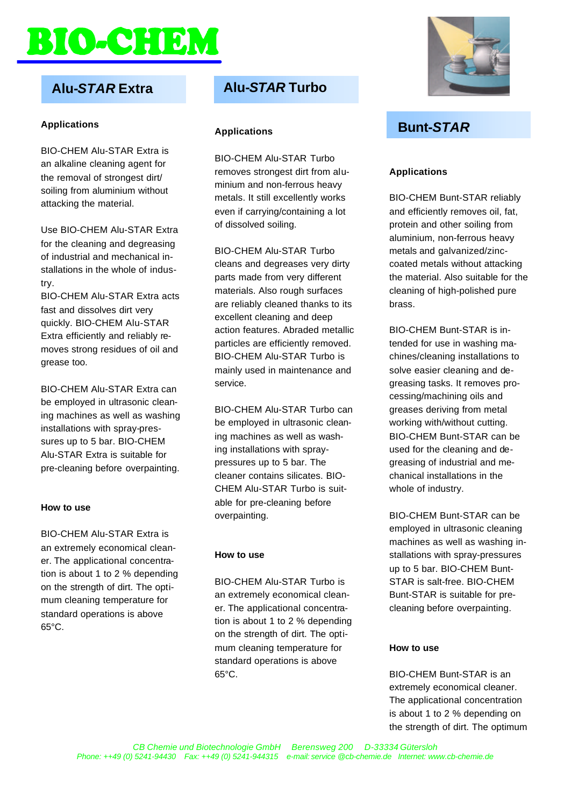# **BO-CHERM**

## **Alu-***STAR* **Extra**

#### **Applications**

BIO-CHEM Alu-STAR Extra is an alkaline cleaning agent for the removal of strongest dirt/ soiling from aluminium without attacking the material.

Use BIO-CHEM Alu-STAR Extra for the cleaning and degreasing of industrial and mechanical installations in the whole of industry.

BIO-CHEM Alu-STAR Extra acts fast and dissolves dirt very quickly. BIO-CHEM Alu-STAR Extra efficiently and reliably removes strong residues of oil and grease too.

BIO-CHEM Alu-STAR Extra can be employed in ultrasonic cleaning machines as well as washing installations with spray-pressures up to 5 bar. BIO-CHEM Alu-STAR Extra is suitable for pre-cleaning before overpainting.

#### **How to use**

BIO-CHEM Alu-STAR Extra is an extremely economical cleaner. The applicational concentration is about 1 to 2 % depending on the strength of dirt. The optimum cleaning temperature for standard operations is above 65°C.

### **Alu-***STAR* **Turbo**

#### **Applications**

BIO-CHEM Alu-STAR Turbo removes strongest dirt from aluminium and non-ferrous heavy metals. It still excellently works even if carrying/containing a lot of dissolved soiling.

BIO-CHEM Alu-STAR Turbo cleans and degreases very dirty parts made from very different materials. Also rough surfaces are reliably cleaned thanks to its excellent cleaning and deep action features. Abraded metallic particles are efficiently removed. BIO-CHEM Alu-STAR Turbo is mainly used in maintenance and service.

BIO-CHEM Alu-STAR Turbo can be employed in ultrasonic cleaning machines as well as washing installations with spraypressures up to 5 bar. The cleaner contains silicates. BIO-CHEM Alu-STAR Turbo is suitable for pre-cleaning before overpainting.

#### **How to use**

BIO-CHEM Alu-STAR Turbo is an extremely economical cleaner. The applicational concentration is about 1 to 2 % depending on the strength of dirt. The optimum cleaning temperature for standard operations is above 65°C.



## **Bunt-***STAR*

#### **Applications**

BIO-CHEM Bunt-STAR reliably and efficiently removes oil, fat, protein and other soiling from aluminium, non-ferrous heavy metals and galvanized/zinccoated metals without attacking the material. Also suitable for the cleaning of high-polished pure brass.

BIO-CHEM Bunt-STAR is intended for use in washing machines/cleaning installations to solve easier cleaning and degreasing tasks. It removes processing/machining oils and greases deriving from metal working with/without cutting. BIO-CHEM Bunt-STAR can be used for the cleaning and degreasing of industrial and mechanical installations in the whole of industry.

BIO-CHEM Bunt-STAR can be employed in ultrasonic cleaning machines as well as washing installations with spray-pressures up to 5 bar. BIO-CHEM Bunt-STAR is salt-free. BIO-CHEM Bunt-STAR is suitable for precleaning before overpainting.

#### **How to use**

BIO-CHEM Bunt-STAR is an extremely economical cleaner. The applicational concentration is about 1 to 2 % depending on the strength of dirt. The optimum